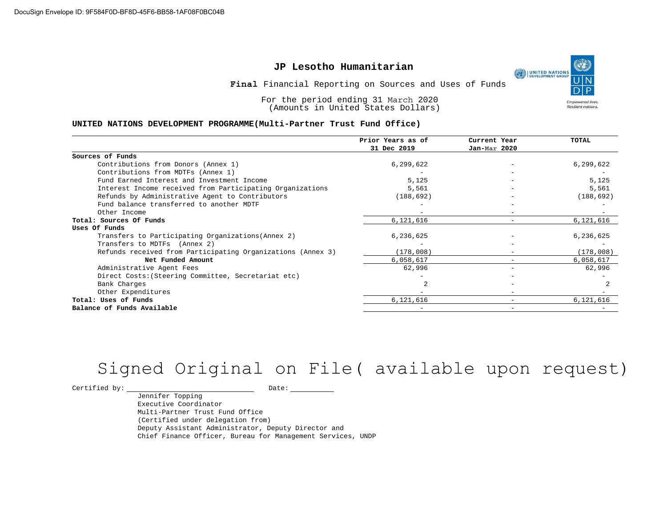### **JP Lesotho Humanitarian**

**Final** Financial Reporting on Sources and Uses of Funds

For the period ending 31 March 2020 (Amounts in United States Dollars)

#### **UNITED NATIONS DEVELOPMENT PROGRAMME(Multi-Partner Trust Fund Office)**

|                                                             | Prior Years as of<br>31 Dec 2019 | Current Year<br>Jan-Mar 2020 | TOTAL      |
|-------------------------------------------------------------|----------------------------------|------------------------------|------------|
|                                                             |                                  |                              |            |
| Sources of Funds                                            |                                  |                              |            |
| Contributions from Donors (Annex 1)                         | 6,299,622                        |                              | 6,299,622  |
| Contributions from MDTFs (Annex 1)                          |                                  |                              |            |
| Fund Earned Interest and Investment Income                  | 5,125                            |                              | 5,125      |
| Interest Income received from Participating Organizations   | 5,561                            | $\overline{\phantom{m}}$     | 5,561      |
| Refunds by Administrative Agent to Contributors             | (188, 692)                       |                              | (188, 692) |
| Fund balance transferred to another MDTF                    |                                  |                              |            |
| Other Income                                                |                                  |                              |            |
| Total: Sources Of Funds                                     | 6,121,616                        |                              | 6,121,616  |
| Uses Of Funds                                               |                                  |                              |            |
| Transfers to Participating Organizations (Annex 2)          | 6,236,625                        |                              | 6,236,625  |
| Transfers to MDTFs (Annex 2)                                |                                  |                              |            |
| Refunds received from Participating Organizations (Annex 3) | (178,008)                        |                              | (178,008)  |
| Net Funded Amount                                           | 6,058,617                        |                              | 6,058,617  |
| Administrative Agent Fees                                   | 62,996                           |                              | 62,996     |
| Direct Costs: (Steering Committee, Secretariat etc)         |                                  |                              |            |
| Bank Charges                                                |                                  |                              |            |
| Other Expenditures                                          |                                  |                              |            |
| Total: Uses of Funds                                        | 6,121,616                        | $\overline{\phantom{0}}$     | 6,121,616  |
| Balance of Funds Available                                  |                                  |                              |            |

## Signed Original on File( available upon request)

 $\begin{picture}(180,10) \put(0,0){\vector(1,0){100}} \put(15,0){\vector(1,0){100}} \put(15,0){\vector(1,0){100}} \put(15,0){\vector(1,0){100}} \put(15,0){\vector(1,0){100}} \put(15,0){\vector(1,0){100}} \put(15,0){\vector(1,0){100}} \put(15,0){\vector(1,0){100}} \put(15,0){\vector(1,0){100}} \put(15,0){\vector(1,0){100}} \put(15,0){\vector(1,0){100}}$ 

Jennifer Topping Executive Coordinator Multi-Partner Trust Fund Office (Certified under delegation from) Deputy Assistant Administrator, Deputy Director and Chief Finance Officer, Bureau for Management Services, UNDP



Resilient nations.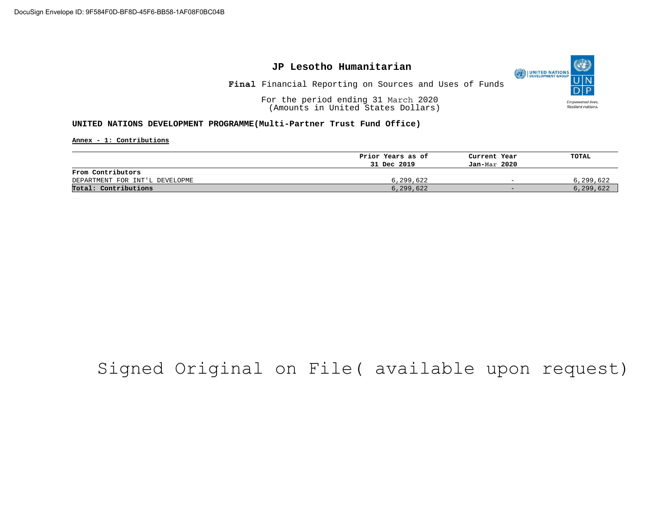

**Final** Financial Reporting on Sources and Uses of Funds

O

**Empowered lives** Resilient nations.

UNITED NATIONS

For the period ending 31 March 2020 (Amounts in United States Dollars)

**UNITED NATIONS DEVELOPMENT PROGRAMME(Multi-Partner Trust Fund Office)**

**Annex - 1: Contributions**

|                                | Prior Years as of | Current Year             | TOTAL     |
|--------------------------------|-------------------|--------------------------|-----------|
|                                | 31 Dec 2019       | Jan-Mar 2020             |           |
| From Contributors              |                   |                          |           |
| DEPARTMENT FOR INT'L DEVELOPME | 6,299,622         | $\overline{\phantom{a}}$ | 6,299,622 |
| Total: Contributions           | 6,299,622         | $\sim$                   | 6,299,622 |

## Signed Original on File( available upon request)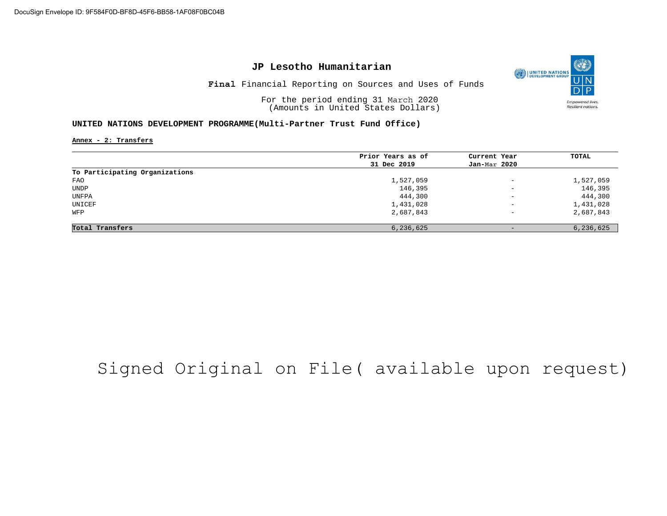### **JP Lesotho Humanitarian**

UNITED NATIONS **Final** Financial Reporting on Sources and Uses of Funds

O

**Empowered lives** Resilient nations.

For the period ending 31 March 2020 (Amounts in United States Dollars)

### **UNITED NATIONS DEVELOPMENT PROGRAMME(Multi-Partner Trust Fund Office)**

**Annex - 2: Transfers**

|                                | Prior Years as of | Current Year             | TOTAL     |
|--------------------------------|-------------------|--------------------------|-----------|
|                                |                   |                          |           |
|                                | 31 Dec 2019       | Jan-Mar 2020             |           |
| To Participating Organizations |                   |                          |           |
| FAO                            | 1,527,059         | $\overline{\phantom{m}}$ | 1,527,059 |
| <b>UNDP</b>                    | 146,395           | $\qquad \qquad -$        | 146,395   |
| UNFPA                          | 444,300           | $\overline{\phantom{a}}$ | 444,300   |
| UNICEF                         | 1,431,028         | $\qquad \qquad -$        | 1,431,028 |
| WFP                            | 2,687,843         | $\qquad \qquad -$        | 2,687,843 |
| Total Transfers                | 6,236,625         |                          | 6,236,625 |
|                                |                   |                          |           |

## Signed Original on File( available upon request)